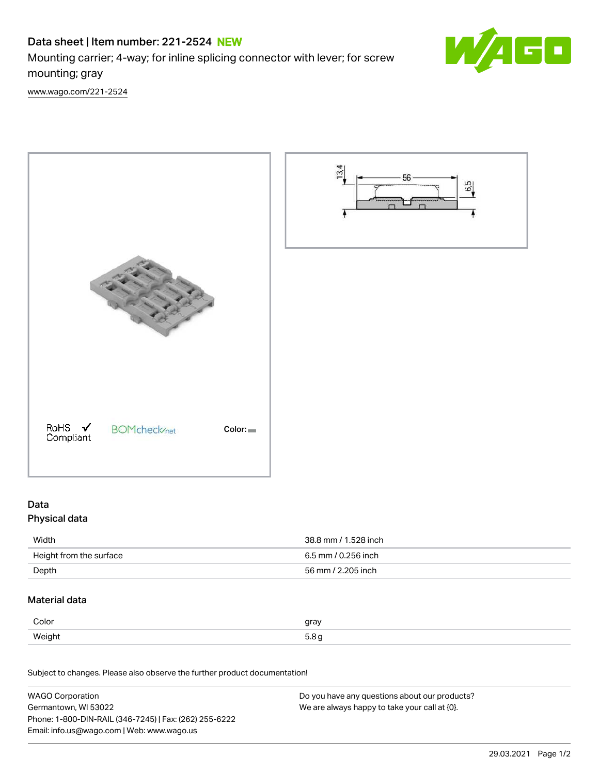# Data sheet | Item number: 221-2524 NEW

Mounting carrier; 4-way; for inline splicing connector with lever; for screw mounting; gray

[www.wago.com/221-2524](http://www.wago.com/221-2524)



# Data

# Physical data

| Width                   | 38.8 mm / 1.528 inch |
|-------------------------|----------------------|
| Height from the surface | 6.5 mm / 0.256 inch  |
| Depth                   | 56 mm / 2.205 inch   |
|                         |                      |

# Material data

| Color          | gray             |
|----------------|------------------|
| Weight<br>້.ສ. | 5 R<br>$\ddotsc$ |

Subject to changes. Please also observe the further product documentation!

| <b>WAGO Corporation</b>                                | Do you have any questions about our products? |
|--------------------------------------------------------|-----------------------------------------------|
| Germantown, WI 53022                                   | We are always happy to take your call at {0}. |
| Phone: 1-800-DIN-RAIL (346-7245)   Fax: (262) 255-6222 |                                               |
| Email: info.us@wago.com   Web: www.wago.us             |                                               |